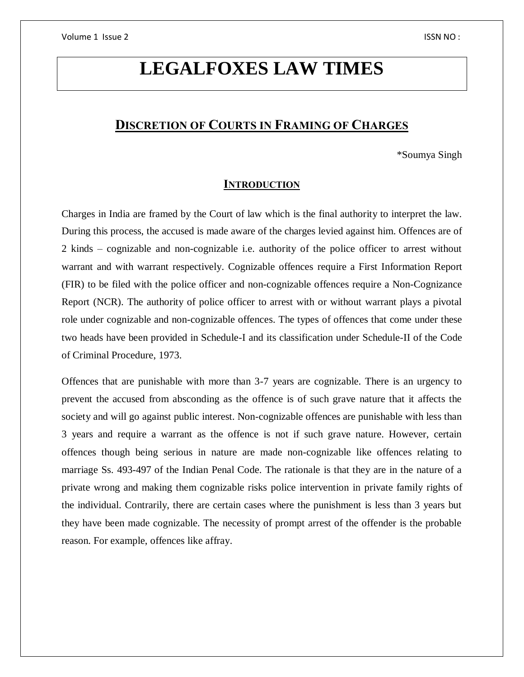# **LEGALFOXES LAW TIMES**

## **DISCRETION OF COURTS IN FRAMING OF CHARGES**

\*Soumya Singh

#### **INTRODUCTION**

Charges in India are framed by the Court of law which is the final authority to interpret the law. During this process, the accused is made aware of the charges levied against him. Offences are of 2 kinds – cognizable and non-cognizable i.e. authority of the police officer to arrest without warrant and with warrant respectively. Cognizable offences require a First Information Report (FIR) to be filed with the police officer and non-cognizable offences require a Non-Cognizance Report (NCR). The authority of police officer to arrest with or without warrant plays a pivotal role under cognizable and non-cognizable offences. The types of offences that come under these two heads have been provided in Schedule-I and its classification under Schedule-II of the Code of Criminal Procedure, 1973.

Offences that are punishable with more than 3-7 years are cognizable. There is an urgency to prevent the accused from absconding as the offence is of such grave nature that it affects the society and will go against public interest. Non-cognizable offences are punishable with less than 3 years and require a warrant as the offence is not if such grave nature. However, certain offences though being serious in nature are made non-cognizable like offences relating to marriage Ss. 493-497 of the Indian Penal Code. The rationale is that they are in the nature of a private wrong and making them cognizable risks police intervention in private family rights of the individual. Contrarily, there are certain cases where the punishment is less than 3 years but they have been made cognizable. The necessity of prompt arrest of the offender is the probable reason. For example, offences like affray.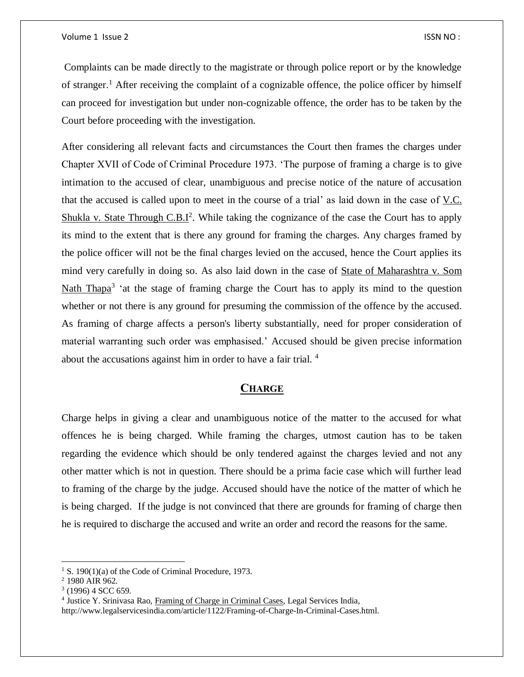Complaints can be made directly to the magistrate or through police report or by the knowledge of stranger.<sup>1</sup> After receiving the complaint of a cognizable offence, the police officer by himself can proceed for investigation but under non-cognizable offence, the order has to be taken by the Court before proceeding with the investigation.

After considering all relevant facts and circumstances the Court then frames the charges under Chapter XVII of Code of Criminal Procedure 1973. 'The purpose of framing a charge is to give intimation to the accused of clear, unambiguous and precise notice of the nature of accusation that the accused is called upon to meet in the course of a trial' as laid down in the case of  $V.C.$ Shukla v. State Through  $C.B.I^2$ . While taking the cognizance of the case the Court has to apply its mind to the extent that is there any ground for framing the charges. Any charges framed by the police officer will not be the final charges levied on the accused, hence the Court applies its mind very carefully in doing so. As also laid down in the case of State of Maharashtra v. Som Nath Thapa<sup>3</sup> 'at the stage of framing charge the Court has to apply its mind to the question whether or not there is any ground for presuming the commission of the offence by the accused. As framing of charge affects a person's liberty substantially, need for proper consideration of material warranting such order was emphasised.' Accused should be given precise information about the accusations against him in order to have a fair trial.<sup>4</sup>

### **CHARGE**

Charge helps in giving a clear and unambiguous notice of the matter to the accused for what offences he is being charged. While framing the charges, utmost caution has to be taken regarding the evidence which should be only tendered against the charges levied and not any other matter which is not in question. There should be a prima facie case which will further lead to framing of the charge by the judge. Accused should have the notice of the matter of which he is being charged. If the judge is not convinced that there are grounds for framing of charge then he is required to discharge the accused and write an order and record the reasons for the same.

 $\overline{\phantom{a}}$ 

<sup>&</sup>lt;sup>1</sup> S. 190(1)(a) of the Code of Criminal Procedure, 1973.

<sup>2</sup> 1980 AIR 962.

 $3(1996)$  4 SCC 659.

<sup>&</sup>lt;sup>4</sup> Justice Y. Srinivasa Rao, Framing of Charge in Criminal Cases, Legal Services India, http://www.legalservicesindia.com/article/1122/Framing-of-Charge-In-Criminal-Cases.html.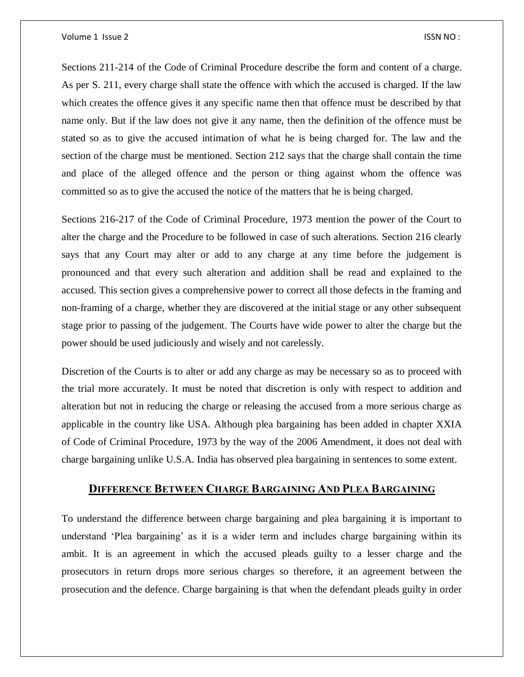Sections 211-214 of the Code of Criminal Procedure describe the form and content of a charge. As per S. 211, every charge shall state the offence with which the accused is charged. If the law which creates the offence gives it any specific name then that offence must be described by that name only. But if the law does not give it any name, then the definition of the offence must be stated so as to give the accused intimation of what he is being charged for. The law and the section of the charge must be mentioned. Section 212 says that the charge shall contain the time and place of the alleged offence and the person or thing against whom the offence was committed so as to give the accused the notice of the matters that he is being charged.

Sections 216-217 of the Code of Criminal Procedure, 1973 mention the power of the Court to alter the charge and the Procedure to be followed in case of such alterations. Section 216 clearly says that any Court may alter or add to any charge at any time before the judgement is pronounced and that every such alteration and addition shall be read and explained to the accused. This section gives a comprehensive power to correct all those defects in the framing and non-framing of a charge, whether they are discovered at the initial stage or any other subsequent stage prior to passing of the judgement. The Courts have wide power to alter the charge but the power should be used judiciously and wisely and not carelessly.

Discretion of the Courts is to alter or add any charge as may be necessary so as to proceed with the trial more accurately. It must be noted that discretion is only with respect to addition and alteration but not in reducing the charge or releasing the accused from a more serious charge as applicable in the country like USA. Although plea bargaining has been added in chapter XXIA of Code of Criminal Procedure, 1973 by the way of the 2006 Amendment, it does not deal with charge bargaining unlike U.S.A. India has observed plea bargaining in sentences to some extent.

## **DIFFERENCE BETWEEN CHARGE BARGAINING AND PLEA BARGAINING**

To understand the difference between charge bargaining and plea bargaining it is important to understand 'Plea bargaining' as it is a wider term and includes charge bargaining within its ambit. It is an agreement in which the accused pleads guilty to a lesser charge and the prosecutors in return drops more serious charges so therefore, it an agreement between the prosecution and the defence. Charge bargaining is that when the defendant pleads guilty in order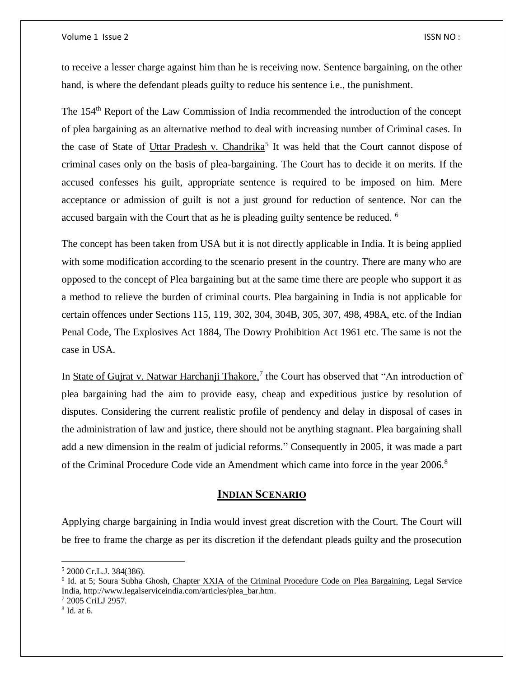to receive a lesser charge against him than he is receiving now. Sentence bargaining, on the other hand, is where the defendant pleads guilty to reduce his sentence i.e., the punishment.

The 154<sup>th</sup> Report of the Law Commission of India recommended the introduction of the concept of plea bargaining as an alternative method to deal with increasing number of Criminal cases. In the case of State of Uttar Pradesh v. Chandrika<sup>5</sup> It was held that the Court cannot dispose of criminal cases only on the basis of plea-bargaining. The Court has to decide it on merits. If the accused confesses his guilt, appropriate sentence is required to be imposed on him. Mere acceptance or admission of guilt is not a just ground for reduction of sentence. Nor can the accused bargain with the Court that as he is pleading guilty sentence be reduced. <sup>6</sup>

The concept has been taken from USA but it is not directly applicable in India. It is being applied with some modification according to the scenario present in the country. There are many who are opposed to the concept of Plea bargaining but at the same time there are people who support it as a method to relieve the burden of criminal courts. Plea bargaining in India is not applicable for certain offences under Sections 115, 119, 302, 304, 304B, 305, 307, 498, 498A, etc. of the Indian Penal Code, The Explosives Act 1884, The Dowry Prohibition Act 1961 etc. The same is not the case in USA.

In State of Gujrat v. Natwar Harchanji Thakore,<sup>7</sup> the Court has observed that "An introduction of plea bargaining had the aim to provide easy, cheap and expeditious justice by resolution of disputes. Considering the current realistic profile of pendency and delay in disposal of cases in the administration of law and justice, there should not be anything stagnant. Plea bargaining shall add a new dimension in the realm of judicial reforms." Consequently in 2005, it was made a part of the Criminal Procedure Code vide an Amendment which came into force in the year 2006.<sup>8</sup>

## **INDIAN SCENARIO**

Applying charge bargaining in India would invest great discretion with the Court. The Court will be free to frame the charge as per its discretion if the defendant pleads guilty and the prosecution

 $\overline{\phantom{a}}$ 

<sup>5</sup> 2000 Cr.L.J. 384(386).

<sup>&</sup>lt;sup>6</sup> Id. at 5; Soura Subha Ghosh, Chapter XXIA of the Criminal Procedure Code on Plea Bargaining, Legal Service India, http://www.legalserviceindia.com/articles/plea\_bar.htm.

<sup>7</sup> 2005 CriLJ 2957.

<sup>8</sup> Id*.* at 6.